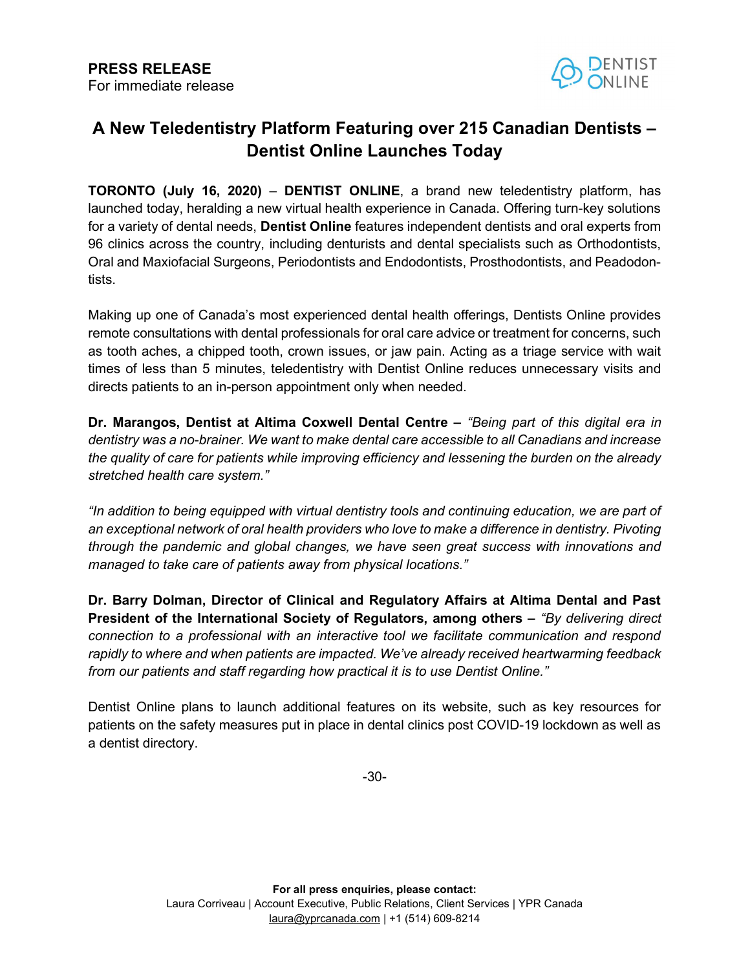

## A New Teledentistry Platform Featuring over 215 Canadian Dentists – Dentist Online Launches Today

TORONTO (July 16, 2020) – DENTIST ONLINE, a brand new teledentistry platform, has launched today, heralding a new virtual health experience in Canada. Offering turn-key solutions for a variety of dental needs, **Dentist Online** features independent dentists and oral experts from 96 clinics across the country, including denturists and dental specialists such as Orthodontists, Oral and Maxiofacial Surgeons, Periodontists and Endodontists, Prosthodontists, and Peadodontists.

Making up one of Canada's most experienced dental health offerings, Dentists Online provides remote consultations with dental professionals for oral care advice or treatment for concerns, such as tooth aches, a chipped tooth, crown issues, or jaw pain. Acting as a triage service with wait times of less than 5 minutes, teledentistry with Dentist Online reduces unnecessary visits and directs patients to an in-person appointment only when needed.

Dr. Marangos, Dentist at Altima Coxwell Dental Centre – "Being part of this digital era in dentistry was a no-brainer. We want to make dental care accessible to all Canadians and increase the quality of care for patients while improving efficiency and lessening the burden on the already stretched health care system."

"In addition to being equipped with virtual dentistry tools and continuing education, we are part of an exceptional network of oral health providers who love to make a difference in dentistry. Pivoting through the pandemic and global changes, we have seen great success with innovations and managed to take care of patients away from physical locations."

Dr. Barry Dolman, Director of Clinical and Regulatory Affairs at Altima Dental and Past President of the International Society of Regulators, among others – "By delivering direct connection to a professional with an interactive tool we facilitate communication and respond rapidly to where and when patients are impacted. We've already received heartwarming feedback from our patients and staff regarding how practical it is to use Dentist Online."

Dentist Online plans to launch additional features on its website, such as key resources for patients on the safety measures put in place in dental clinics post COVID-19 lockdown as well as a dentist directory.

-30-